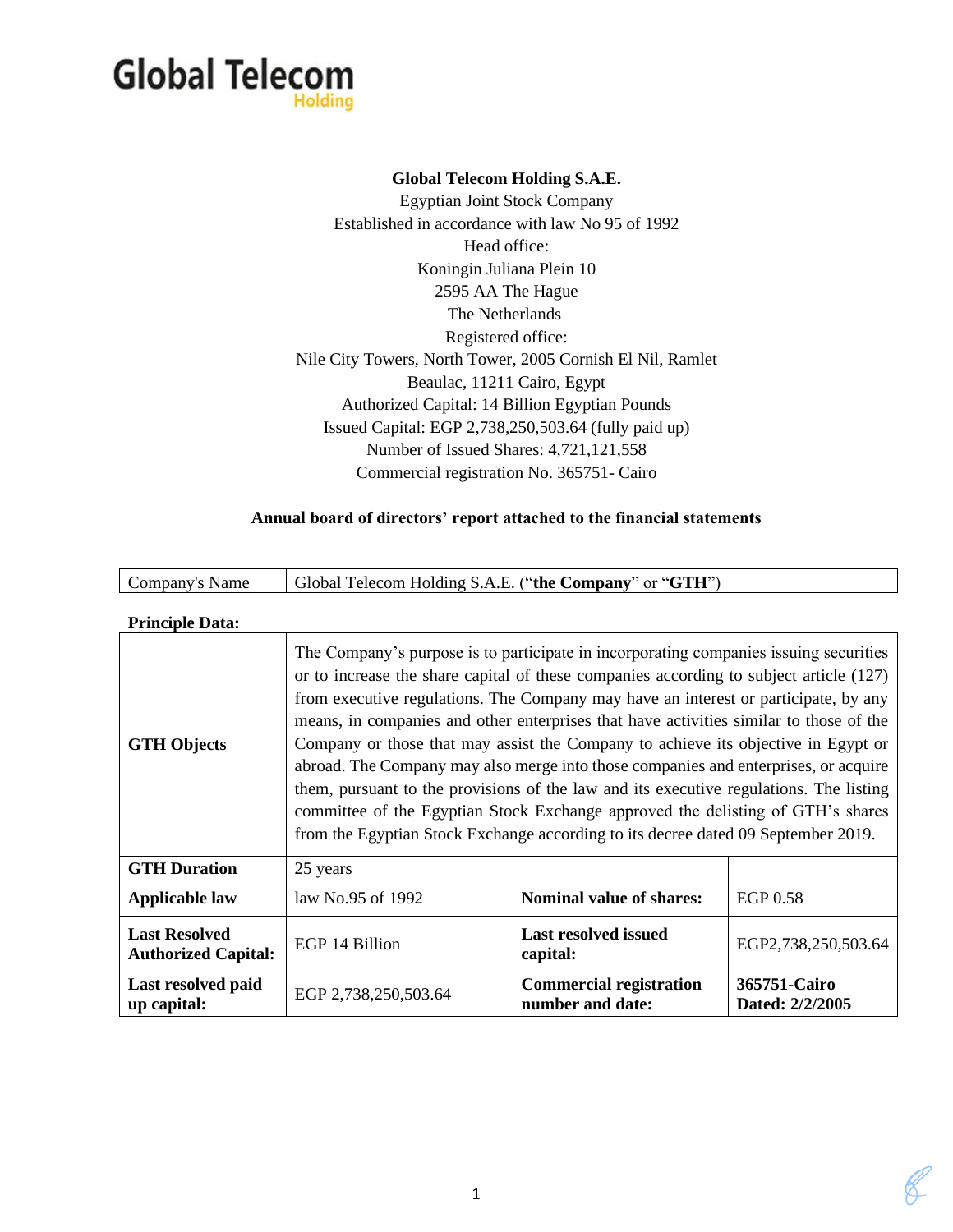

#### **Global Telecom Holding S.A.E.**

Egyptian Joint Stock Company Established in accordance with law No 95 of 1992 Head office: Koningin Juliana Plein 10 2595 AA The Hague The Netherlands Registered office: Nile City Towers, North Tower, 2005 Cornish El Nil, Ramlet Beaulac, 11211 Cairo, Egypt Authorized Capital: 14 Billion Egyptian Pounds Issued Capital: EGP 2,738,250,503.64 (fully paid up) Number of Issued Shares: 4,721,121,558 Commercial registration No. 365751- Cairo

#### **Annual board of directors' report attached to the financial statements**

| Company's Name | Global Telecom Holding S.A.E. ("the Company" or "GTH") |
|----------------|--------------------------------------------------------|
|                |                                                        |

#### **Principle Data:**

| <b>GTH Objects</b>                                 | The Company's purpose is to participate in incorporating companies issuing securities<br>or to increase the share capital of these companies according to subject article (127)<br>from executive regulations. The Company may have an interest or participate, by any<br>means, in companies and other enterprises that have activities similar to those of the<br>Company or those that may assist the Company to achieve its objective in Egypt or<br>abroad. The Company may also merge into those companies and enterprises, or acquire<br>them, pursuant to the provisions of the law and its executive regulations. The listing<br>committee of the Egyptian Stock Exchange approved the delisting of GTH's shares<br>from the Egyptian Stock Exchange according to its decree dated 09 September 2019. |                                                    |                                 |
|----------------------------------------------------|----------------------------------------------------------------------------------------------------------------------------------------------------------------------------------------------------------------------------------------------------------------------------------------------------------------------------------------------------------------------------------------------------------------------------------------------------------------------------------------------------------------------------------------------------------------------------------------------------------------------------------------------------------------------------------------------------------------------------------------------------------------------------------------------------------------|----------------------------------------------------|---------------------------------|
| <b>GTH Duration</b>                                | 25 years                                                                                                                                                                                                                                                                                                                                                                                                                                                                                                                                                                                                                                                                                                                                                                                                       |                                                    |                                 |
| <b>Applicable law</b>                              | law No.95 of 1992                                                                                                                                                                                                                                                                                                                                                                                                                                                                                                                                                                                                                                                                                                                                                                                              | <b>Nominal value of shares:</b>                    | EGP 0.58                        |
| <b>Last Resolved</b><br><b>Authorized Capital:</b> | EGP 14 Billion                                                                                                                                                                                                                                                                                                                                                                                                                                                                                                                                                                                                                                                                                                                                                                                                 | <b>Last resolved issued</b><br>capital:            | EGP2,738,250,503.64             |
| Last resolved paid<br>up capital:                  | EGP 2,738,250,503.64                                                                                                                                                                                                                                                                                                                                                                                                                                                                                                                                                                                                                                                                                                                                                                                           | <b>Commercial registration</b><br>number and date: | 365751-Cairo<br>Dated: 2/2/2005 |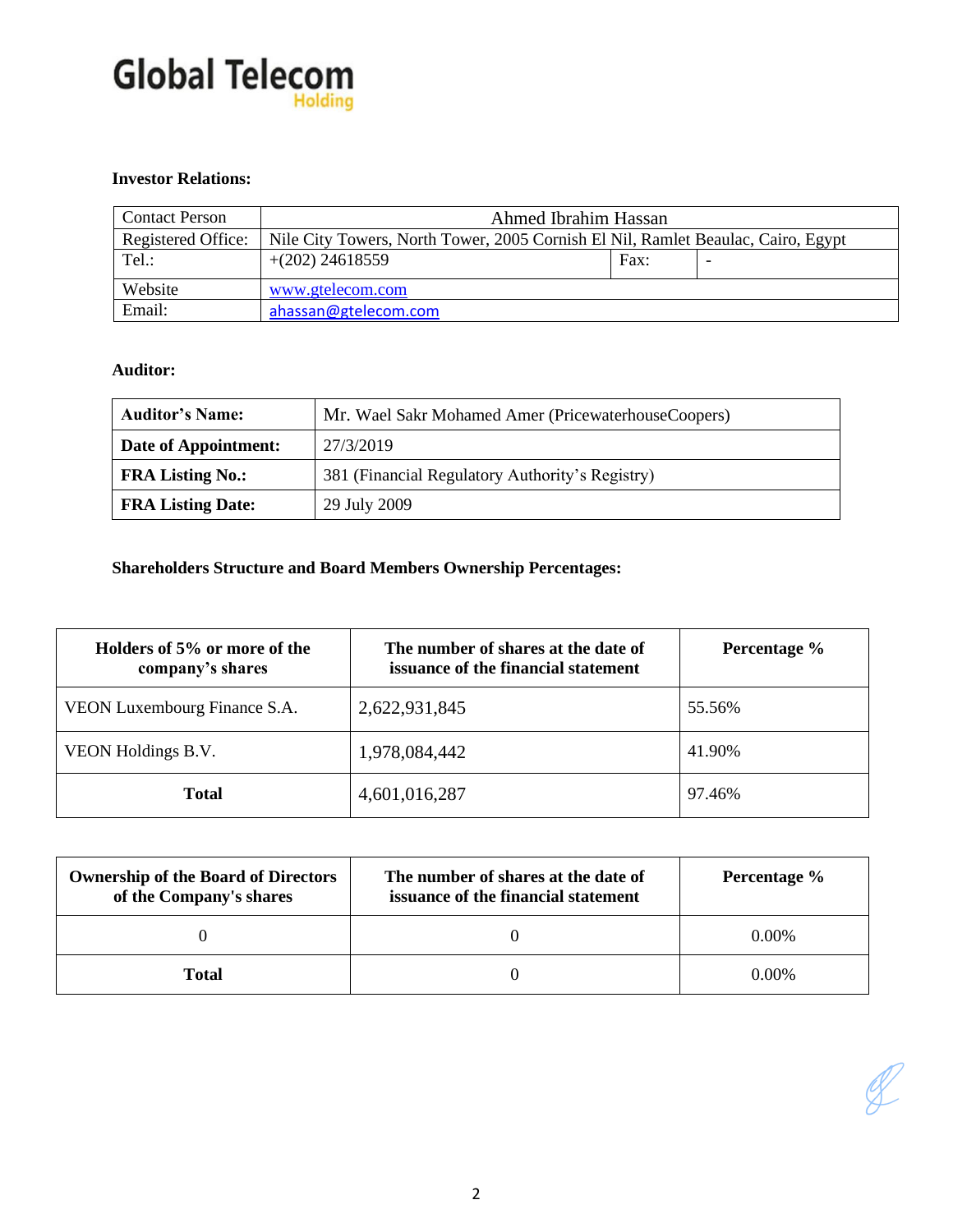

#### **Investor Relations:**

| <b>Contact Person</b> | Ahmed Ibrahim Hassan                                                             |      |  |
|-----------------------|----------------------------------------------------------------------------------|------|--|
| Registered Office:    | Nile City Towers, North Tower, 2005 Cornish El Nil, Ramlet Beaulac, Cairo, Egypt |      |  |
| Tel.:                 | $+(202)$ 24618559                                                                | Fax: |  |
| Website               | www.gtelecom.com                                                                 |      |  |
| Email:                | ahassan@gtelecom.com                                                             |      |  |

#### **Auditor:**

| <b>Auditor's Name:</b>   | Mr. Wael Sakr Mohamed Amer (PricewaterhouseCoopers) |
|--------------------------|-----------------------------------------------------|
| Date of Appointment:     | 27/3/2019                                           |
| <b>FRA Listing No.:</b>  | 381 (Financial Regulatory Authority's Registry)     |
| <b>FRA Listing Date:</b> | 29 July 2009                                        |

## **Shareholders Structure and Board Members Ownership Percentages:**

| Holders of 5% or more of the<br>company's shares | The number of shares at the date of<br>issuance of the financial statement | Percentage % |
|--------------------------------------------------|----------------------------------------------------------------------------|--------------|
| VEON Luxembourg Finance S.A.                     | 2,622,931,845                                                              | 55.56%       |
| VEON Holdings B.V.                               | 1,978,084,442                                                              | 41.90%       |
| <b>Total</b>                                     | 4,601,016,287                                                              | 97.46%       |

| <b>Ownership of the Board of Directors</b><br>of the Company's shares | The number of shares at the date of<br>issuance of the financial statement | Percentage % |
|-----------------------------------------------------------------------|----------------------------------------------------------------------------|--------------|
|                                                                       |                                                                            | $0.00\%$     |
| Total                                                                 |                                                                            | $0.00\%$     |

 $\mathscr{L}$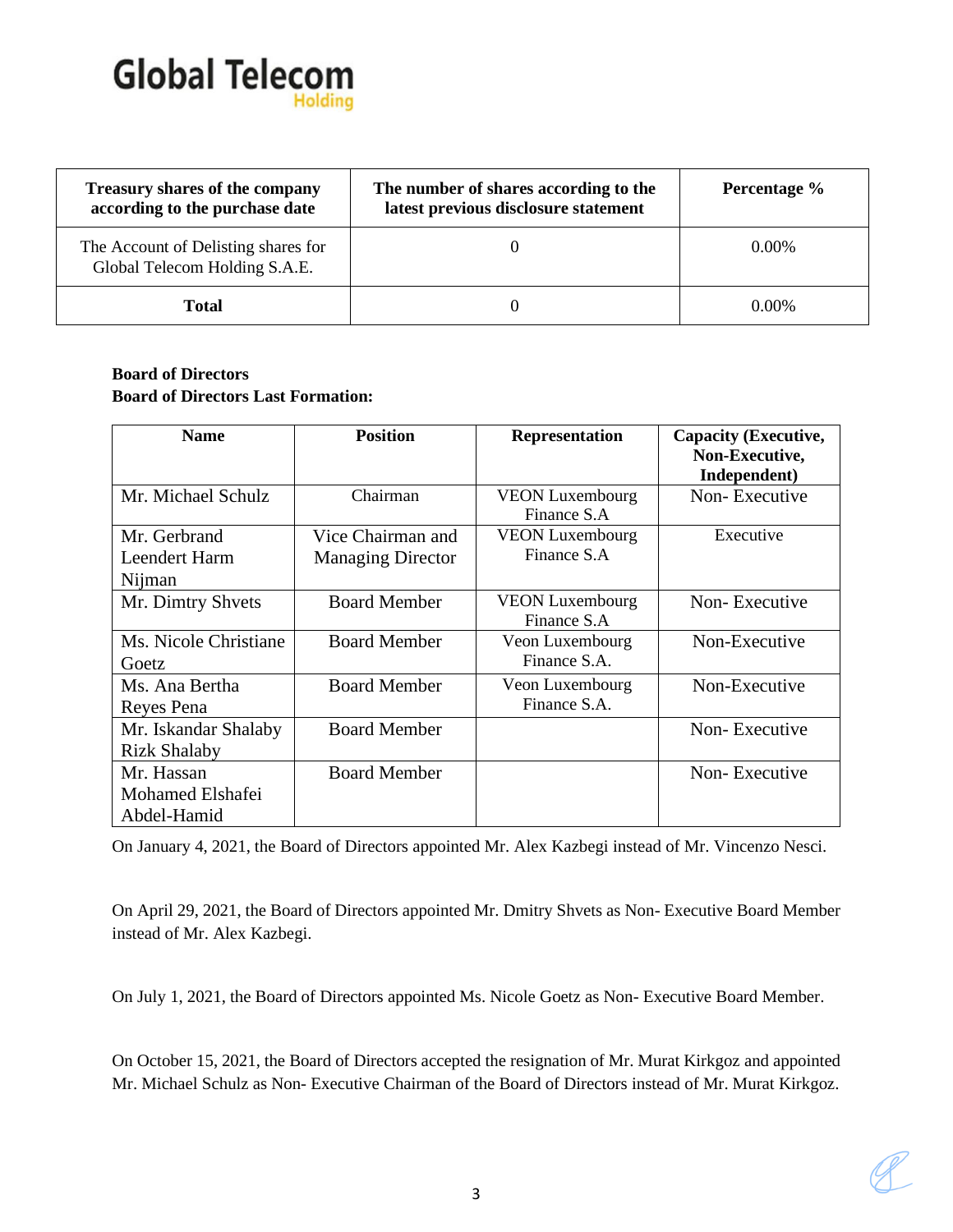

| <b>Treasury shares of the company</b><br>according to the purchase date | The number of shares according to the<br>latest previous disclosure statement | Percentage % |
|-------------------------------------------------------------------------|-------------------------------------------------------------------------------|--------------|
| The Account of Delisting shares for<br>Global Telecom Holding S.A.E.    |                                                                               | $0.00\%$     |
| Total                                                                   |                                                                               | $0.00\%$     |

#### **Board of Directors Board of Directors Last Formation:**

| <b>Name</b>                                   | <b>Position</b>                               | <b>Representation</b>                 | <b>Capacity (Executive,</b><br>Non-Executive,<br>Independent) |
|-----------------------------------------------|-----------------------------------------------|---------------------------------------|---------------------------------------------------------------|
| Mr. Michael Schulz                            | Chairman                                      | <b>VEON Luxembourg</b><br>Finance S.A | Non-Executive                                                 |
| Mr. Gerbrand<br>Leendert Harm<br>Nijman       | Vice Chairman and<br><b>Managing Director</b> | <b>VEON Luxembourg</b><br>Finance S.A | Executive                                                     |
| Mr. Dimtry Shvets                             | <b>Board Member</b>                           | <b>VEON Luxembourg</b><br>Finance S.A | Non-Executive                                                 |
| Ms. Nicole Christiane<br>Goetz                | <b>Board Member</b>                           | Veon Luxembourg<br>Finance S.A.       | Non-Executive                                                 |
| Ms. Ana Bertha<br>Reyes Pena                  | <b>Board Member</b>                           | Veon Luxembourg<br>Finance S.A.       | Non-Executive                                                 |
| Mr. Iskandar Shalaby<br><b>Rizk Shalaby</b>   | <b>Board Member</b>                           |                                       | Non-Executive                                                 |
| Mr. Hassan<br>Mohamed Elshafei<br>Abdel-Hamid | <b>Board Member</b>                           |                                       | Non-Executive                                                 |

On January 4, 2021, the Board of Directors appointed Mr. Alex Kazbegi instead of Mr. Vincenzo Nesci.

On April 29, 2021, the Board of Directors appointed Mr. Dmitry Shvets as Non- Executive Board Member instead of Mr. Alex Kazbegi.

On July 1, 2021, the Board of Directors appointed Ms. Nicole Goetz as Non- Executive Board Member.

On October 15, 2021, the Board of Directors accepted the resignation of Mr. Murat Kirkgoz and appointed Mr. Michael Schulz as Non- Executive Chairman of the Board of Directors instead of Mr. Murat Kirkgoz.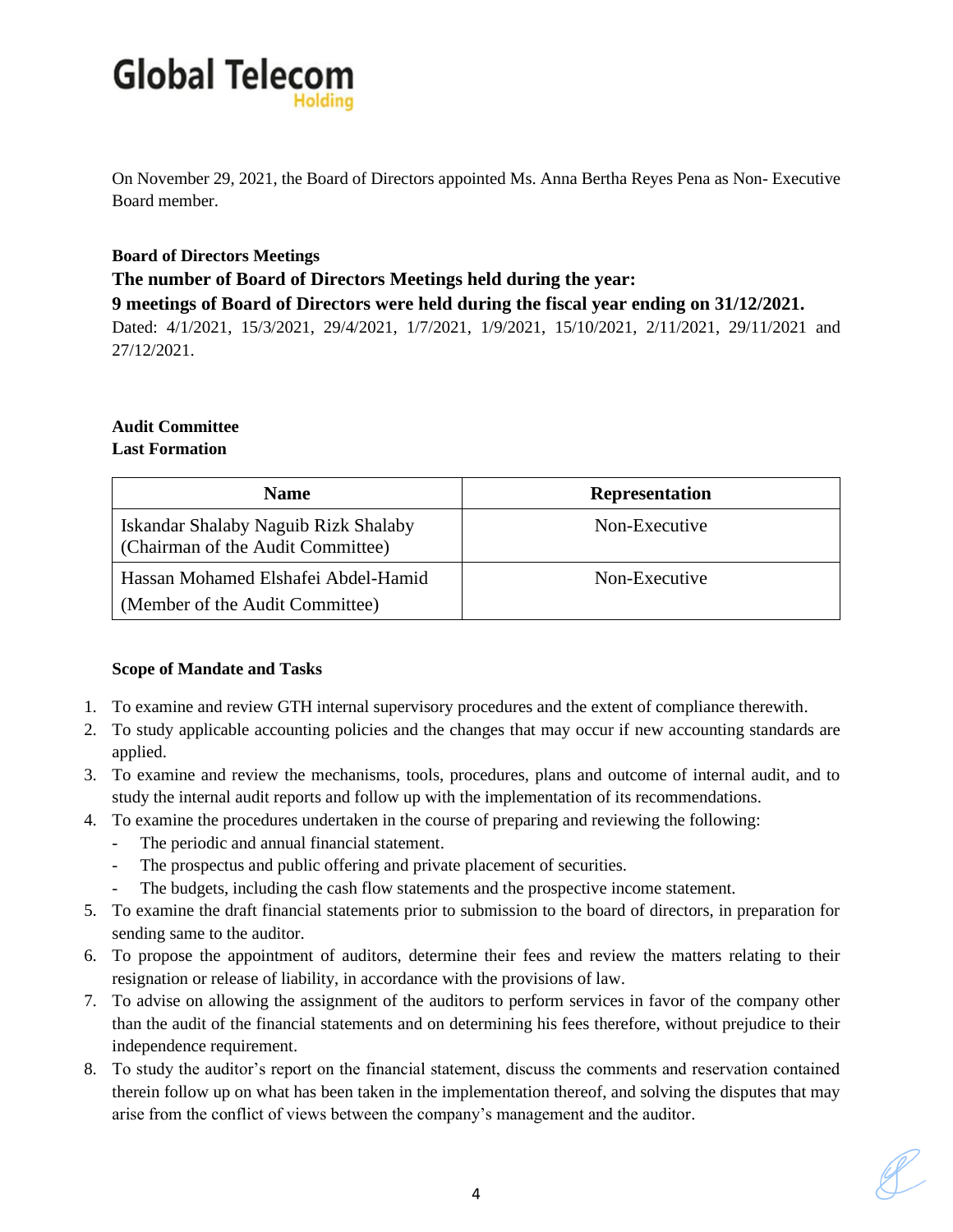# **Global Telecom**

On November 29, 2021, the Board of Directors appointed Ms. Anna Bertha Reyes Pena as Non- Executive Board member.

### **Board of Directors Meetings**

**The number of Board of Directors Meetings held during the year:**

**9 meetings of Board of Directors were held during the fiscal year ending on 31/12/2021.**

Dated: 4/1/2021, 15/3/2021, 29/4/2021, 1/7/2021, 1/9/2021, 15/10/2021, 2/11/2021, 29/11/2021 and 27/12/2021.

### **Audit Committee**

#### **Last Formation**

| <b>Name</b>                                                               | <b>Representation</b> |
|---------------------------------------------------------------------------|-----------------------|
| Iskandar Shalaby Naguib Rizk Shalaby<br>(Chairman of the Audit Committee) | Non-Executive         |
| Hassan Mohamed Elshafei Abdel-Hamid<br>(Member of the Audit Committee)    | Non-Executive         |

#### **Scope of Mandate and Tasks**

- 1. To examine and review GTH internal supervisory procedures and the extent of compliance therewith.
- 2. To study applicable accounting policies and the changes that may occur if new accounting standards are applied.
- 3. To examine and review the mechanisms, tools, procedures, plans and outcome of internal audit, and to study the internal audit reports and follow up with the implementation of its recommendations.
- 4. To examine the procedures undertaken in the course of preparing and reviewing the following:
	- The periodic and annual financial statement.
	- The prospectus and public offering and private placement of securities.
	- The budgets, including the cash flow statements and the prospective income statement.
- 5. To examine the draft financial statements prior to submission to the board of directors, in preparation for sending same to the auditor.
- 6. To propose the appointment of auditors, determine their fees and review the matters relating to their resignation or release of liability, in accordance with the provisions of law.
- 7. To advise on allowing the assignment of the auditors to perform services in favor of the company other than the audit of the financial statements and on determining his fees therefore, without prejudice to their independence requirement.
- 8. To study the auditor's report on the financial statement, discuss the comments and reservation contained therein follow up on what has been taken in the implementation thereof, and solving the disputes that may arise from the conflict of views between the company's management and the auditor.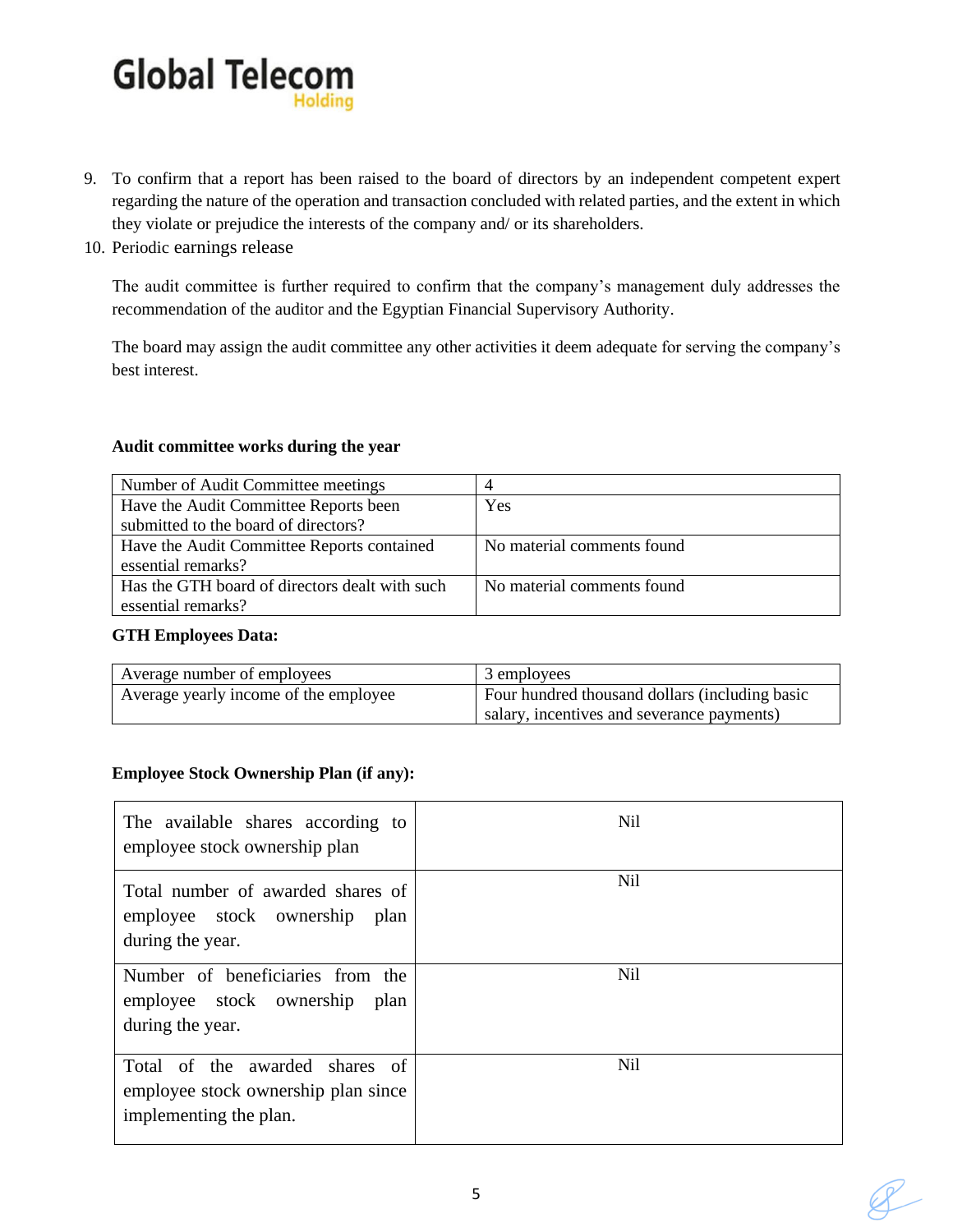# **Global Telecom**

- 9. To confirm that a report has been raised to the board of directors by an independent competent expert regarding the nature of the operation and transaction concluded with related parties, and the extent in which they violate or prejudice the interests of the company and/ or its shareholders.
- 10. Periodic earnings release

The audit committee is further required to confirm that the company's management duly addresses the recommendation of the auditor and the Egyptian Financial Supervisory Authority.

The board may assign the audit committee any other activities it deem adequate for serving the company's best interest.

#### **Audit committee works during the year**

| Number of Audit Committee meetings             |                            |
|------------------------------------------------|----------------------------|
| Have the Audit Committee Reports been          | Yes                        |
| submitted to the board of directors?           |                            |
| Have the Audit Committee Reports contained     | No material comments found |
| essential remarks?                             |                            |
| Has the GTH board of directors dealt with such | No material comments found |
| essential remarks?                             |                            |

#### **GTH Employees Data:**

| Average number of employees           | 3 employees                                    |
|---------------------------------------|------------------------------------------------|
| Average yearly income of the employee | Four hundred thousand dollars (including basic |
|                                       | salary, incentives and severance payments)     |

#### **Employee Stock Ownership Plan (if any):**

| The available shares according to<br>employee stock ownership plan                              | Nil |
|-------------------------------------------------------------------------------------------------|-----|
| Total number of awarded shares of<br>employee stock ownership<br>plan<br>during the year.       | Nil |
| Number of beneficiaries from the<br>employee stock ownership<br>plan<br>during the year.        | Nil |
| Total of the awarded shares of<br>employee stock ownership plan since<br>implementing the plan. | Nil |

 $\mathscr{R}$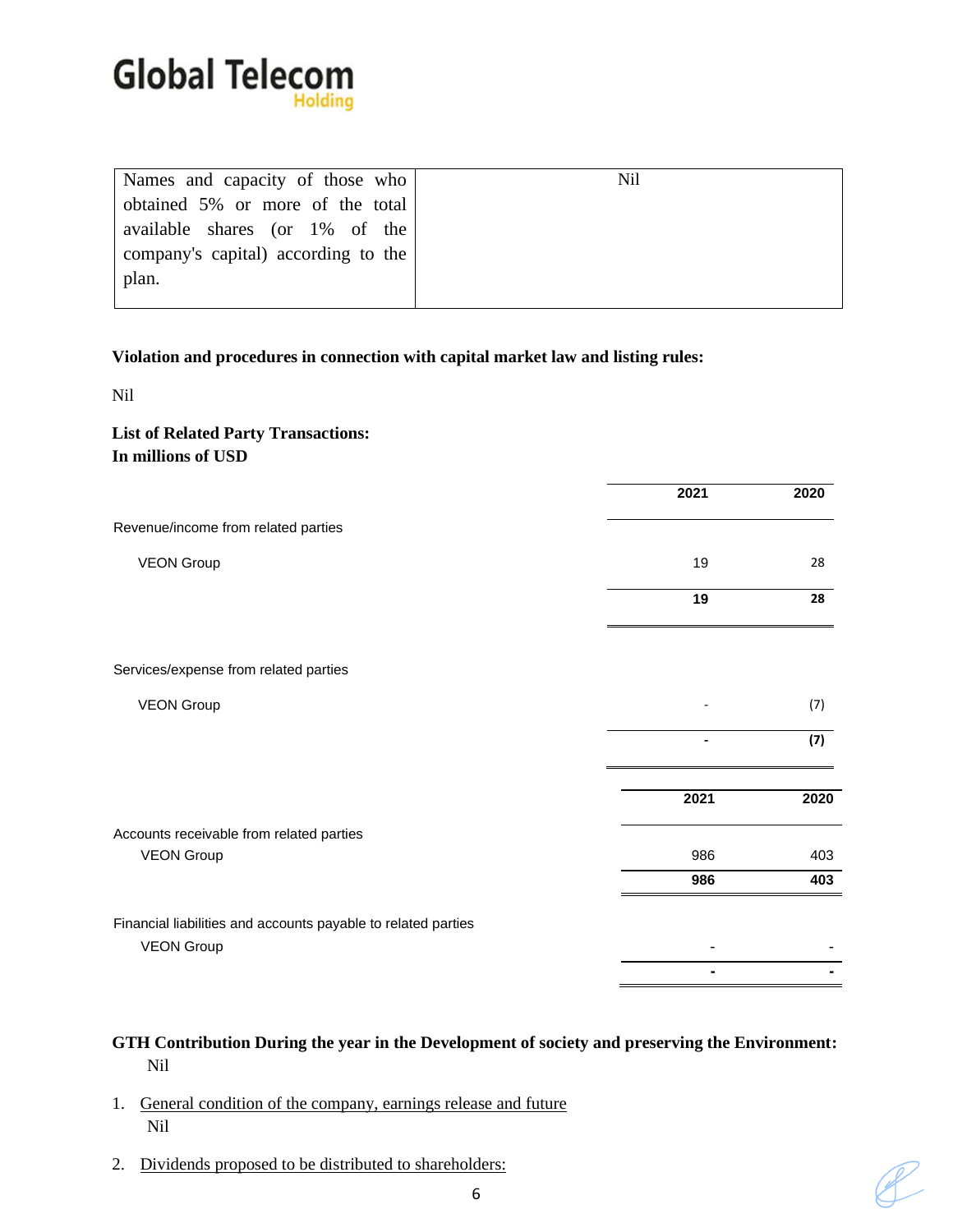

| Names and capacity of those who     | Nil |
|-------------------------------------|-----|
| obtained 5% or more of the total    |     |
| available shares (or 1% of the      |     |
| company's capital) according to the |     |
| plan.                               |     |
|                                     |     |

#### **Violation and procedures in connection with capital market law and listing rules:**

Nil

#### **List of Related Party Transactions: In millions of USD**

|                                                               | 2021 | 2020 |
|---------------------------------------------------------------|------|------|
| Revenue/income from related parties                           |      |      |
| <b>VEON Group</b>                                             | 19   | 28   |
|                                                               | 19   | 28   |
| Services/expense from related parties                         |      |      |
| <b>VEON Group</b>                                             |      | (7)  |
|                                                               | -    | (7)  |
|                                                               | 2021 | 2020 |
| Accounts receivable from related parties                      |      |      |
| <b>VEON Group</b>                                             | 986  | 403  |
|                                                               | 986  | 403  |
| Financial liabilities and accounts payable to related parties |      |      |
| <b>VEON Group</b>                                             |      |      |
|                                                               |      |      |

#### **GTH Contribution During the year in the Development of society and preserving the Environment:** Nil

- 1. General condition of the company, earnings release and future Nil
- 2. Dividends proposed to be distributed to shareholders:

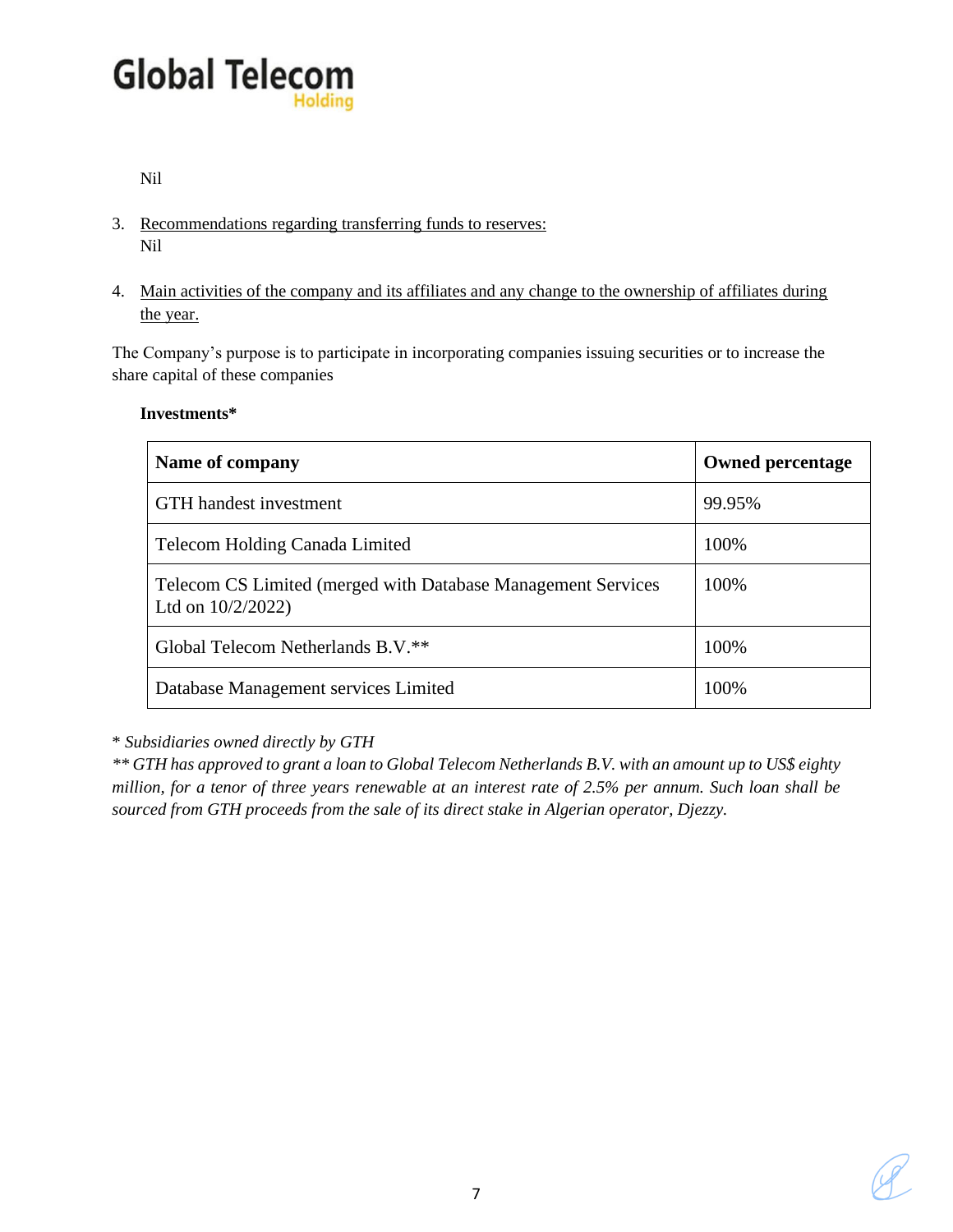# **Global Telecom**

Nil

- 3. Recommendations regarding transferring funds to reserves: Nil
- 4. Main activities of the company and its affiliates and any change to the ownership of affiliates during the year.

The Company's purpose is to participate in incorporating companies issuing securities or to increase the share capital of these companies

#### **Investments\***

| Name of company                                                                      | <b>Owned percentage</b> |
|--------------------------------------------------------------------------------------|-------------------------|
| <b>GTH</b> handest investment                                                        | 99.95%                  |
| Telecom Holding Canada Limited                                                       | 100%                    |
| Telecom CS Limited (merged with Database Management Services<br>Ltd on $10/2/2022$ ) | 100%                    |
| Global Telecom Netherlands B.V.**                                                    | 100%                    |
| Database Management services Limited                                                 | 100%                    |

\* *Subsidiaries owned directly by GTH*

*\*\* GTH has approved to grant a loan to Global Telecom Netherlands B.V. with an amount up to US\$ eighty million, for a tenor of three years renewable at an interest rate of 2.5% per annum. Such loan shall be sourced from GTH proceeds from the sale of its direct stake in Algerian operator, Djezzy.*